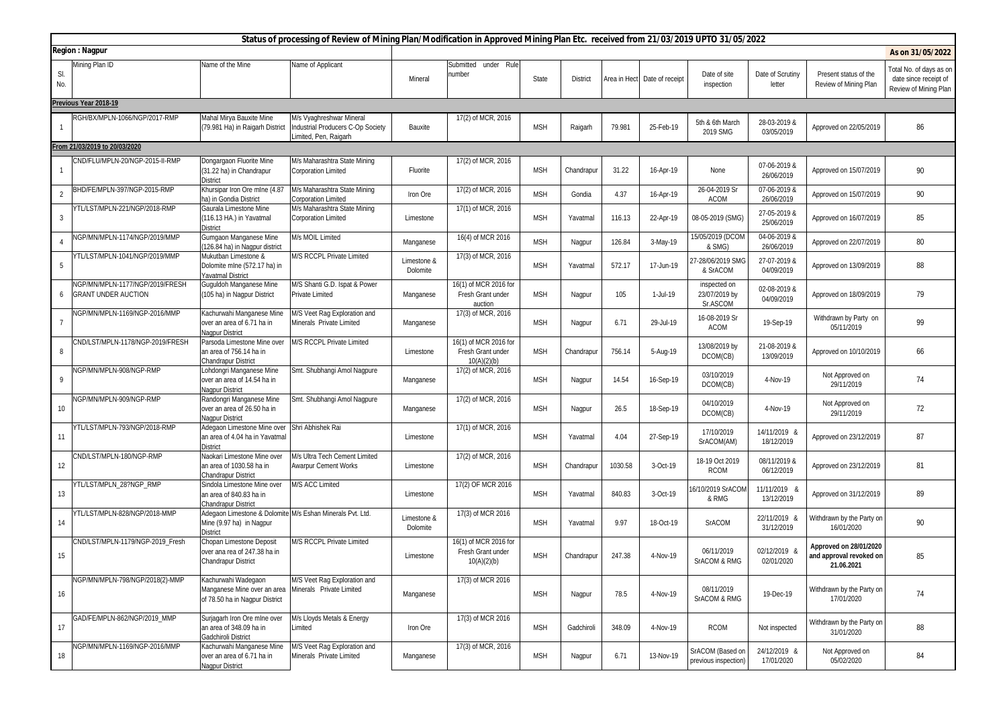|                | Status of processing of Review of Mining Plan/Modification in Approved Mining Plan Etc. received from 21/03/2019 UPTO 31/05/2022 |                                                                                                               |                                                                                       |                         |                                                           |            |                 |         |                              |                                           |                            |                                                                 |                                                                           |
|----------------|----------------------------------------------------------------------------------------------------------------------------------|---------------------------------------------------------------------------------------------------------------|---------------------------------------------------------------------------------------|-------------------------|-----------------------------------------------------------|------------|-----------------|---------|------------------------------|-------------------------------------------|----------------------------|-----------------------------------------------------------------|---------------------------------------------------------------------------|
|                | <b>Region: Nagpur</b><br>As on 31/05/2022<br>Mining Plan ID<br>Name of the Mine<br>Name of Applicant<br>Submitted under Rule     |                                                                                                               |                                                                                       |                         |                                                           |            |                 |         |                              |                                           |                            |                                                                 |                                                                           |
| SI.<br>No.     |                                                                                                                                  |                                                                                                               |                                                                                       | Mineral                 | number                                                    | State      | <b>District</b> |         | Area in Hect Date of receipt | Date of site<br>inspection                | Date of Scrutiny<br>letter | Present status of the<br>Review of Mining Plan                  | Total No. of days as on<br>date since receipt of<br>Review of Mining Plan |
|                | Previous Year 2018-19                                                                                                            |                                                                                                               |                                                                                       |                         |                                                           |            |                 |         |                              |                                           |                            |                                                                 |                                                                           |
|                | RGH/BX/MPLN-1066/NGP/2017-RMP                                                                                                    | Mahal Mirya Bauxite Mine<br>(79.981 Ha) in Raigarh District                                                   | M/s Vyaghreshwar Mineral<br>Industrial Producers C-Op Society<br>imited, Pen, Raigarh | Bauxite                 | 17(2) of MCR, 2016                                        | <b>MSH</b> | Raigarh         | 79.981  | 25-Feb-19                    | 5th & 6th March<br>2019 SMG               | 28-03-2019 &<br>03/05/2019 | Approved on 22/05/2019                                          | 86                                                                        |
|                | From 21/03/2019 to 20/03/2020                                                                                                    |                                                                                                               |                                                                                       |                         |                                                           |            |                 |         |                              |                                           |                            |                                                                 |                                                                           |
|                | CND/FLU/MPLN-20/NGP-2015-II-RMP                                                                                                  | Dongargaon Fluorite Mine<br>(31.22 ha) in Chandrapur<br><b>District</b>                                       | M/s Maharashtra State Mining<br><b>Corporation Limited</b>                            | Fluorite                | 17(2) of MCR, 2016                                        | <b>MSH</b> | Chandrapur      | 31.22   | 16-Apr-19                    | None                                      | 07-06-2019 &<br>26/06/2019 | Approved on 15/07/2019                                          | 90                                                                        |
| $\overline{2}$ | BHD/FE/MPLN-397/NGP-2015-RMP                                                                                                     | Khursipar Iron Ore mlne (4.8)<br>ha) in Gondia District                                                       | M/s Maharashtra State Mining<br>Corporation Limited                                   | Iron Ore                | 17(2) of MCR, 2016                                        | <b>MSH</b> | Gondia          | 4.37    | 16-Apr-19                    | 26-04-2019 Sr<br><b>ACOM</b>              | 07-06-2019 &<br>26/06/2019 | Approved on 15/07/2019                                          | 90                                                                        |
| 3              | YTL/LST/MPLN-221/NGP/2018-RMP                                                                                                    | Gaurala Limestone Mine<br>(116.13 HA.) in Yavatmal<br><b>District</b>                                         | M/s Maharashtra State Mining<br><b>Corporation Limited</b>                            | Limestone               | 17(1) of MCR, 2016                                        | <b>MSH</b> | Yavatmal        | 116.13  | 22-Apr-19                    | 08-05-2019 (SMG)                          | 27-05-2019 &<br>25/06/2019 | Approved on 16/07/2019                                          | 85                                                                        |
| 4              | NGP/MN/MPLN-1174/NGP/2019/MMP                                                                                                    | Gumgaon Manganese Mine<br>(126.84 ha) in Nagpur district                                                      | M/s MOIL Limited                                                                      | Manganese               | 16(4) of MCR 2016                                         | <b>MSH</b> | Nagpur          | 126.84  | 3-May-19                     | 15/05/2019 (DCOM<br>& SMG)                | 04-06-2019 &<br>26/06/2019 | Approved on 22/07/2019                                          | 80                                                                        |
| 5              | YTL/LST/MPLN-1041/NGP/2019/MMP                                                                                                   | Mukutban Limestone &<br>Dolomite mlne (572.17 ha) in<br>Yavatmal District                                     | M/S RCCPL Private Limited                                                             | Limestone &<br>Dolomite | 17(3) of MCR, 2016                                        | <b>MSH</b> | Yavatmal        | 572.17  | 17-Jun-19                    | 27-28/06/2019 SMG<br>& SrACOM             | 27-07-2019 &<br>04/09/2019 | Approved on 13/09/2019                                          | 88                                                                        |
| 6              | IGP/MN/MPLN-1177/NGP/2019/FRESH<br><b>GRANT UNDER AUCTION</b>                                                                    | Guguldoh Manganese Mine<br>(105 ha) in Nagpur District                                                        | M/S Shanti G.D. Ispat & Power<br><b>Private Limited</b>                               | Manganese               | 16(1) of MCR 2016 for<br>Fresh Grant under<br>auction     | <b>MSH</b> | Nagpur          | 105     | 1-Jul-19                     | inspected on<br>23/07/2019 by<br>Sr.ASCOM | 02-08-2019 &<br>04/09/2019 | Approved on 18/09/2019                                          | 79                                                                        |
| 7              | NGP/MN/MPLN-1169/NGP-2016/MMP                                                                                                    | Kachurwahi Manganese Mine<br>over an area of 6.71 ha in<br>Nagpur District                                    | M/S Veet Rag Exploration and<br>Minerals Private Limited                              | Manganese               | 17(3) of MCR, 2016                                        | <b>MSH</b> | Nagpur          | 6.71    | 29-Jul-19                    | 16-08-2019 Sr<br><b>ACOM</b>              | 19-Sep-19                  | Withdrawn by Party on<br>05/11/2019                             | 99                                                                        |
| 8              | ND/LST/MPLN-1178/NGP-2019/FRESH                                                                                                  | Parsoda Limestone Mine over<br>an area of 756.14 ha in<br><b>Chandrapur District</b>                          | M/S RCCPL Private Limited                                                             | Limestone               | 16(1) of MCR 2016 for<br>Fresh Grant under<br>10(A)(2)(b) | <b>MSH</b> | Chandrapur      | 756.14  | 5-Aug-19                     | 13/08/2019 by<br>DCOM(CB)                 | 21-08-2019 &<br>13/09/2019 | Approved on 10/10/2019                                          | 66                                                                        |
| 9              | NGP/MN/MPLN-908/NGP-RMP                                                                                                          | ohdongri Manganese Mine<br>over an area of 14.54 ha in<br>Nagpur District                                     | Smt. Shubhangi Amol Nagpure                                                           | Manganese               | 17(2) of MCR, 2016                                        | <b>MSH</b> | Nagpur          | 14.54   | 16-Sep-19                    | 03/10/2019<br>DCOM(CB)                    | 4-Nov-19                   | Not Approved on<br>29/11/2019                                   | 74                                                                        |
| 10             | NGP/MN/MPLN-909/NGP-RMP                                                                                                          | Randongri Manganese Mine<br>over an area of 26.50 ha in<br>Nagpur District                                    | Smt. Shubhangi Amol Nagpure                                                           | Manganese               | 17(2) of MCR, 2016                                        | <b>MSH</b> | Nagpur          | 26.5    | 18-Sep-19                    | 04/10/2019<br>DCOM(CB)                    | 4-Nov-19                   | Not Approved on<br>29/11/2019                                   | 72                                                                        |
| 11             | YTL/LST/MPLN-793/NGP/2018-RMP                                                                                                    | Adegaon Limestone Mine over Shri Abhishek Rai<br>an area of 4.04 ha in Yavatmal<br><b>District</b>            |                                                                                       | Limestone               | 17(1) of MCR, 2016                                        | <b>MSH</b> | Yavatmal        | 4.04    | 27-Sep-19                    | 17/10/2019<br>SrACOM(AM)                  | 14/11/2019 &<br>18/12/2019 | Approved on 23/12/2019                                          | 87                                                                        |
| 12             | ND/LST/MPLN-180/NGP-RMP                                                                                                          | Naokari Limestone Mine over<br>an area of 1030.58 ha in<br><b>Chandrapur District</b>                         | <b>M/s Ultra Tech Cement Limited</b><br><b>Awarpur Cement Works</b>                   | Limestone               | 17(2) of MCR, 2016                                        | <b>MSH</b> | Chandrapur      | 1030.58 | 3-Oct-19                     | 18-19 Oct 2019<br><b>RCOM</b>             | 08/11/2019 &<br>06/12/2019 | Approved on 23/12/2019                                          | 81                                                                        |
| 13             | YTL/LST/MPLN 28?NGP RMP                                                                                                          | Sindola Limestone Mine over<br>an area of 840.83 ha in<br>Chandrapur District                                 | M/S ACC Limited                                                                       | Limestone               | 17(2) OF MCR 2016                                         | <b>MSH</b> | Yavatmal        | 840.83  | 3-Oct-19                     | 6/10/2019 SrACOM<br>& RMG                 | 11/11/2019 &<br>13/12/2019 | Approved on 31/12/2019                                          | 89                                                                        |
| 14             | YTL/LST/MPLN-828/NGP/2018-MMP                                                                                                    | Adegaon Limestone & Dolomite M/s Eshan Minerals Pvt. Ltd.<br>Mine (9.97 ha) in Nagpur<br>District             |                                                                                       | Limestone &<br>Dolomite | 17(3) of MCR 2016                                         | <b>MSH</b> | Yavatmal        | 9.97    | 18-Oct-19                    | <b>SrACOM</b>                             | 22/11/2019 &<br>31/12/2019 | Withdrawn by the Party on<br>16/01/2020                         | 90                                                                        |
| 15             | CND/LST/MPLN-1179/NGP-2019 Fresh                                                                                                 | Chopan Limestone Deposit<br>over ana rea of 247.38 ha in<br><b>Chandrapur District</b>                        | <b>M/S RCCPL Private Limited</b>                                                      | Limestone               | 16(1) of MCR 2016 for<br>Fresh Grant under<br>10(A)(2)(b) | <b>MSH</b> | Chandrapur      | 247.38  | 4-Nov-19                     | 06/11/2019<br>SrACOM & RMG                | 02/12/2019 &<br>02/01/2020 | Approved on 28/01/2020<br>and approval revoked on<br>21.06.2021 | 85                                                                        |
| 16             | NGP/MN/MPLN-798/NGP/2018(2)-MMP                                                                                                  | Kachurwahi Wadegaon<br>Manganese Mine over an area Minerals Private Limited<br>of 78.50 ha in Nagpur District | M/S Veet Rag Exploration and                                                          | Manganese               | 17(3) of MCR 2016                                         | <b>MSH</b> | Nagpur          | 78.5    | 4-Nov-19                     | 08/11/2019<br>SrACOM & RMG                | 19-Dec-19                  | Withdrawn by the Party on<br>17/01/2020                         | 74                                                                        |
| 17             | GAD/FE/MPLN-862/NGP/2019_MMP                                                                                                     | Surjagarh Iron Ore mlne over<br>an area of 348.09 ha in<br>Gadchiroli District                                | M/s Lloyds Metals & Energy<br>.imited                                                 | Iron Ore                | 17(3) of MCR 2016                                         | <b>MSH</b> | Gadchiroli      | 348.09  | 4-Nov-19                     | <b>RCOM</b>                               | Not inspected              | Withdrawn by the Party on<br>31/01/2020                         | 88                                                                        |
| 18             | NGP/MN/MPLN-1169/NGP-2016/MMP                                                                                                    | Kachurwahi Manganese Mine<br>over an area of 6.71 ha in<br>Nagpur District                                    | <b>MS Veet Rag Exploration and</b><br>Minerals Private Limited                        | Manganese               | 17(3) of MCR, 2016                                        | <b>MSH</b> | Nagpur          | 6.71    | 13-Nov-19                    | SrACOM (Based on<br>previous inspection)  | 24/12/2019 &<br>17/01/2020 | Not Approved on<br>05/02/2020                                   | 84                                                                        |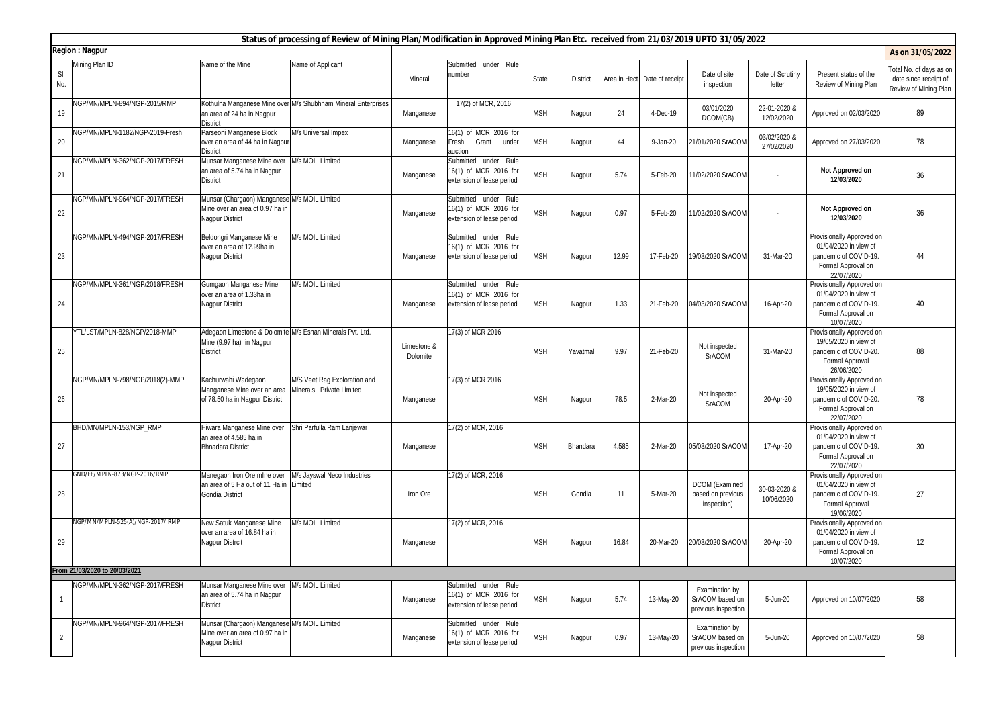|                                           | Status of processing of Review of Mining Plan/Modification in Approved Mining Plan Etc. received from 21/03/2019 UPTO 31/05/2022 |                                                                                                           |                                                               |                         |                                                                            |            |                 |       |                              |                                                           |                            |                                                                                                                 |                                                                           |
|-------------------------------------------|----------------------------------------------------------------------------------------------------------------------------------|-----------------------------------------------------------------------------------------------------------|---------------------------------------------------------------|-------------------------|----------------------------------------------------------------------------|------------|-----------------|-------|------------------------------|-----------------------------------------------------------|----------------------------|-----------------------------------------------------------------------------------------------------------------|---------------------------------------------------------------------------|
| <b>Region: Nagpur</b><br>Name of the Mine |                                                                                                                                  |                                                                                                           |                                                               |                         |                                                                            |            |                 |       |                              |                                                           |                            | As on 31/05/2022                                                                                                |                                                                           |
| SI.<br>No.                                | Mining Plan ID                                                                                                                   |                                                                                                           | Name of Applicant                                             | Mineral                 | Submitted under Rule<br>number                                             | State      | <b>District</b> |       | Area in Hect Date of receipt | Date of site<br>inspection                                | Date of Scrutiny<br>letter | Present status of the<br>Review of Mining Plan                                                                  | Total No. of days as on<br>date since receipt of<br>Review of Mining Plan |
| 19                                        | NGP/MN/MPLN-894/NGP-2015/RMP                                                                                                     | an area of 24 ha in Nagpur<br><b>District</b>                                                             | Kothulna Manganese Mine over M/s Shubhnam Mineral Enterprises | Manganese               | 17(2) of MCR, 2016                                                         | <b>MSH</b> | Nagpur          | 24    | 4-Dec-19                     | 03/01/2020<br>DCOM(CB)                                    | 22-01-2020 &<br>12/02/2020 | Approved on 02/03/2020                                                                                          | 89                                                                        |
| 20                                        | NGP/MN/MPLN-1182/NGP-2019-Fresh                                                                                                  | Parseoni Manganese Block<br>over an area of 44 ha in Nagpur<br><b>District</b>                            | M/s Universal Impex                                           | Manganese               | 16(1) of MCR 2016 for<br>Fresh<br>Grant under<br>auction                   | <b>MSH</b> | Nagpur          | 44    | 9-Jan-20                     | 21/01/2020 SrACOM                                         | 03/02/2020 &<br>27/02/2020 | Approved on 27/03/2020                                                                                          | 78                                                                        |
| 21                                        | NGP/MN/MPLN-362/NGP-2017/FRESH                                                                                                   | Munsar Manganese Mine over<br>an area of 5.74 ha in Nagpur<br><b>District</b>                             | M/s MOIL Limited                                              | Manganese               | Submitted under Rule<br>16(1) of MCR 2016 for<br>extension of lease period | <b>MSH</b> | Nagpur          | 5.74  | 5-Feb-20                     | 11/02/2020 SrACOM                                         |                            | <b>Not Approved on</b><br>12/03/2020                                                                            | 36                                                                        |
| 22                                        | NGP/MN/MPLN-964/NGP-2017/FRESH                                                                                                   | Munsar (Chargaon) Manganese M/s MOIL Limited<br>Mine over an area of 0.97 ha in<br><b>Nagpur District</b> |                                                               | Manganese               | Submitted under Rule<br>16(1) of MCR 2016 for<br>extension of lease period | <b>MSH</b> | Nagpur          | 0.97  | 5-Feb-20                     | 11/02/2020 SrACOM                                         | $\sim$                     | <b>Not Approved on</b><br>12/03/2020                                                                            | 36                                                                        |
| 23                                        | NGP/MN/MPLN-494/NGP-2017/FRESH                                                                                                   | Beldongri Manganese Mine<br>over an area of 12.99ha in<br><b>Nagpur District</b>                          | <b>M/s MOIL Limited</b>                                       | Manganese               | Submitted under Rule<br>16(1) of MCR 2016 for<br>extension of lease period | <b>MSH</b> | Nagpur          | 12.99 | 17-Feb-20                    | 19/03/2020 SrACOM                                         | 31-Mar-20                  | Provisionally Approved on<br>01/04/2020 in view of<br>pandemic of COVID-19.<br>Formal Approval on<br>22/07/2020 | 44                                                                        |
| 24                                        | NGP/MN/MPLN-361/NGP/2018/FRESH                                                                                                   | Gumgaon Manganese Mine<br>over an area of 1.33ha in<br><b>Nagpur District</b>                             | W/s MOIL Limited                                              | Manganese               | Submitted under Rule<br>16(1) of MCR 2016 for<br>extension of lease period | <b>MSH</b> | Nagpur          | 1.33  | 21-Feb-20                    | 04/03/2020 SrACOM                                         | 16-Apr-20                  | Provisionally Approved on<br>01/04/2020 in view of<br>pandemic of COVID-19.<br>Formal Approval on<br>10/07/2020 | 40                                                                        |
| 25                                        | YTL/LST/MPLN-828/NGP/2018-MMP                                                                                                    | Adegaon Limestone & Dolomite M/s Eshan Minerals Pvt. Ltd.<br>Mine (9.97 ha) in Nagpur<br><b>District</b>  |                                                               | Limestone &<br>Dolomite | 17(3) of MCR 2016                                                          | <b>MSH</b> | Yavatmal        | 9.97  | 21-Feb-20                    | Not inspected<br><b>SrACOM</b>                            | 31-Mar-20                  | Provisionally Approved on<br>19/05/2020 in view of<br>pandemic of COVID-20.<br>Formal Approval<br>26/06/2020    | 88                                                                        |
| 26                                        | NGP/MN/MPLN-798/NGP/2018(2)-MMP                                                                                                  | Kachurwahi Wadegaon<br>Manganese Mine over an area<br>of 78.50 ha in Nagpur District                      | M/S Veet Rag Exploration and<br>Minerals Private Limited      | Manganese               | 17(3) of MCR 2016                                                          | <b>MSH</b> | Nagpur          | 78.5  | 2-Mar-20                     | Not inspected<br><b>SrACOM</b>                            | 20-Apr-20                  | Provisionally Approved on<br>19/05/2020 in view of<br>pandemic of COVID-20.<br>Formal Approval on<br>22/07/2020 | 78                                                                        |
| 27                                        | BHD/MN/MPLN-153/NGP RMP                                                                                                          | Hiwara Manganese Mine over<br>an area of 4.585 ha in<br><b>Bhnadara District</b>                          | Shri Parfulla Ram Lanjewar                                    | Manganese               | $\overline{17(2)}$ of MCR, 2016                                            | <b>MSH</b> | Bhandara        | 4.585 | 2-Mar-20                     | 05/03/2020 SrACOM                                         | 17-Apr-20                  | Provisionally Approved on<br>01/04/2020 in view of<br>pandemic of COVID-19.<br>Formal Approval on<br>22/07/2020 | 30                                                                        |
| 28                                        | GND/FE/MPLN-873/NGP-2016/RMP                                                                                                     | Manegaon Iron Ore mine over<br>an area of 5 Ha out of 11 Ha in<br><b>Gondia District</b>                  | M/s Jayswal Neco Industries<br>Limited                        | Iron Ore                | 17(2) of MCR, 2016                                                         | <b>MSH</b> | Gondia          | 11    | 5-Mar-20                     | <b>DCOM</b> (Examined<br>based on previous<br>inspection) | 30-03-2020 &<br>10/06/2020 | Provisionally Approved on<br>01/04/2020 in view of<br>pandemic of COVID-19.<br>Formal Approval<br>19/06/2020    | 27                                                                        |
| 29                                        | NGP/MN/MPLN-525(A)/NGP-2017/RMP                                                                                                  | New Satuk Manganese Mine<br>over an area of 16.84 ha in<br>Nagpur Distrcit                                | M/s MOIL Limited                                              | Manganese               | 17(2) of MCR, 2016                                                         | <b>MSH</b> | Nagpur          | 16.84 | 20-Mar-20                    | 20/03/2020 SrACOM                                         | 20-Apr-20                  | Provisionally Approved on<br>01/04/2020 in view of<br>pandemic of COVID-19.<br>Formal Approval on<br>10/07/2020 | 12                                                                        |
|                                           | From 21/03/2020 to 20/03/2021                                                                                                    |                                                                                                           |                                                               |                         |                                                                            |            |                 |       |                              |                                                           |                            |                                                                                                                 |                                                                           |
|                                           | NGP/MN/MPLN-362/NGP-2017/FRESH                                                                                                   | Munsar Manganese Mine over<br>an area of 5.74 ha in Nagpur<br><b>District</b>                             | M/s MOIL Limited                                              | Manganese               | Submitted under Rule<br>16(1) of MCR 2016 for<br>extension of lease period | <b>MSH</b> | Nagpur          | 5.74  | 13-May-20                    | Examination by<br>SrACOM based on<br>previous inspection  | 5-Jun-20                   | Approved on 10/07/2020                                                                                          | 58                                                                        |
| 2                                         | NGP/MN/MPLN-964/NGP-2017/FRESH                                                                                                   | Munsar (Chargaon) Manganese M/s MOIL Limited<br>Mine over an area of 0.97 ha in<br><b>Nagpur District</b> |                                                               | Manganese               | Submitted under Rule<br>16(1) of MCR 2016 for<br>extension of lease period | <b>MSH</b> | Nagpur          | 0.97  | 13-May-20                    | Examination by<br>SrACOM based on<br>previous inspection  | 5-Jun-20                   | Approved on 10/07/2020                                                                                          | 58                                                                        |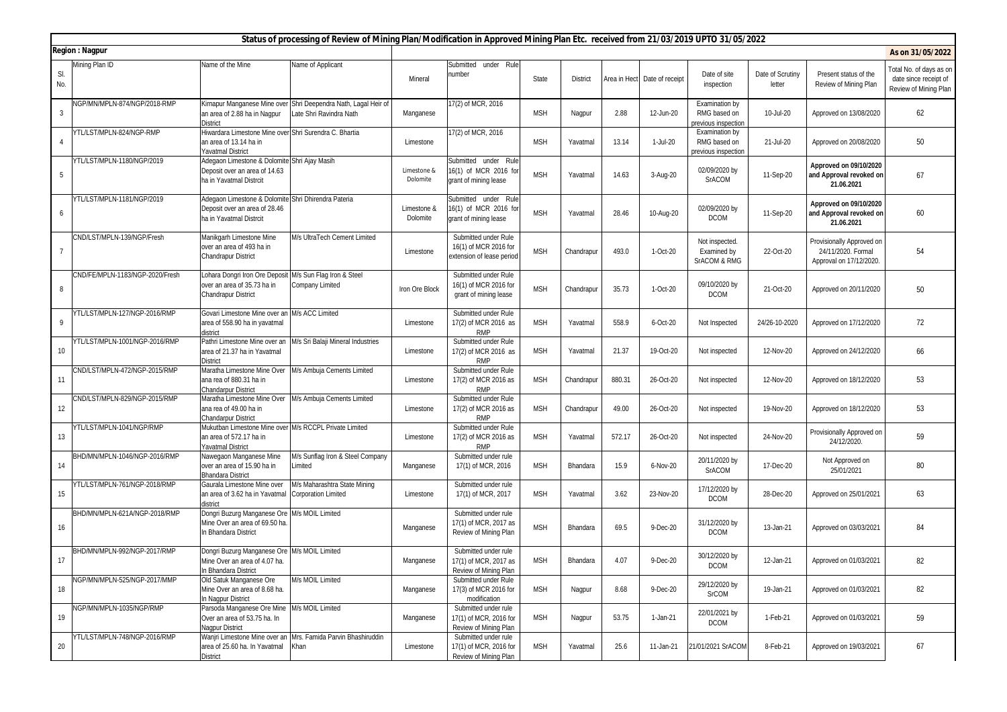|                | Status of processing of Review of Mining Plan/Modification in Approved Mining Plan Etc. received from 21/03/2019 UPTO 31/05/2022 |                                                                                                                      |                                                                                           |                         |                                                                            |            |                 |        |                              |                                                       |                            |                                                                           |                                                                           |
|----------------|----------------------------------------------------------------------------------------------------------------------------------|----------------------------------------------------------------------------------------------------------------------|-------------------------------------------------------------------------------------------|-------------------------|----------------------------------------------------------------------------|------------|-----------------|--------|------------------------------|-------------------------------------------------------|----------------------------|---------------------------------------------------------------------------|---------------------------------------------------------------------------|
|                | <b>Region: Nagpur</b>                                                                                                            |                                                                                                                      |                                                                                           |                         |                                                                            |            |                 |        |                              |                                                       |                            |                                                                           | As on 31/05/2022                                                          |
| SI.<br>No.     | Mining Plan ID                                                                                                                   | Name of the Mine                                                                                                     | Vame of Applicant                                                                         | Mineral                 | Submitted under Rule<br>number                                             | State      | <b>District</b> |        | Area in Hect Date of receipt | Date of site<br>inspection                            | Date of Scrutiny<br>letter | Present status of the<br>Review of Mining Plan                            | Total No. of days as on<br>date since receipt of<br>Review of Mining Plan |
| 3              | NGP/MN/MPLN-874/NGP/2018-RMP                                                                                                     | an area of 2.88 ha in Nagpur<br><b>District</b>                                                                      | Kirnapur Manganese Mine over Shri Deependra Nath, Lagal Heir of<br>ate Shri Ravindra Nath | Manganese               | 17(2) of MCR, 2016                                                         | <b>MSH</b> | Nagpur          | 2.88   | 12-Jun-20                    | Examination by<br>RMG based on<br>previous inspection | 10-Jul-20                  | Approved on 13/08/2020                                                    | 62                                                                        |
| 4              | YTL/LST/MPLN-824/NGP-RMP                                                                                                         | Hiwardara Limestone Mine over Shri Surendra C. Bhartia<br>an area of 13.14 ha in<br>Yavatmal District                |                                                                                           | Limestone               | 17(2) of MCR, 2016                                                         | <b>MSH</b> | Yavatmal        | 13.14  | 1-Jul-20                     | Examination by<br>RMG based on<br>previous inspection | 21-Jul-20                  | Approved on 20/08/2020                                                    | 50                                                                        |
| -5             | YTL/LST/MPLN-1180/NGP/2019                                                                                                       | Adegaon Limestone & Dolomite Shri Ajay Masih<br>Deposit over an area of 14.63<br>ha in Yavatmal Distrcit             |                                                                                           | Limestone &<br>Dolomite | Submitted under Rule<br>16(1) of MCR 2016 for<br>grant of mining lease     | <b>MSH</b> | Yavatmal        | 14.63  | 3-Aug-20                     | 02/09/2020 by<br><b>SrACOM</b>                        | 11-Sep-20                  | Approved on 09/10/2020<br>and Approval revoked on<br>21.06.2021           | 67                                                                        |
| 6              | YTL/LST/MPLN-1181/NGP/2019                                                                                                       | Adegaon Limestone & Dolomite Shri Dhirendra Pateria<br>Deposit over an area of 28.46<br>ha in Yavatmal Distrcit      |                                                                                           | Limestone &<br>Dolomite | Submitted under Rule<br>16(1) of MCR 2016 for<br>grant of mining lease     | <b>MSH</b> | Yavatmal        | 28.46  | 10-Aug-20                    | 02/09/2020 by<br><b>DCOM</b>                          | 11-Sep-20                  | Approved on 09/10/2020<br>and Approval revoked on<br>21.06.2021           | 60                                                                        |
| $\overline{7}$ | CND/LST/MPLN-139/NGP/Fresh                                                                                                       | Manikgarh Limestone Mine<br>over an area of 493 ha in<br><b>Chandrapur District</b>                                  | M/s UltraTech Cement Limited                                                              | Limestone               | Submitted under Rule<br>16(1) of MCR 2016 for<br>extension of lease period | <b>MSH</b> | Chandrapur      | 493.0  | 1-Oct-20                     | Not inspected<br>Examined by<br>SrACOM & RMG          | 22-Oct-20                  | Provisionally Approved on<br>24/11/2020. Formal<br>Approval on 17/12/2020 | 54                                                                        |
| 8              | CND/FE/MPLN-1183/NGP-2020/Fresh                                                                                                  | ohara Dongri Iron Ore Deposit M/s Sun Flag Iron & Steel<br>over an area of 35.73 ha in<br><b>Chandrapur District</b> | Company Limited                                                                           | Iron Ore Block          | Submitted under Rule<br>16(1) of MCR 2016 for<br>grant of mining lease     | <b>MSH</b> | Chandrapur      | 35.73  | 1-Oct-20                     | 09/10/2020 by<br><b>DCOM</b>                          | 21-Oct-20                  | Approved on 20/11/2020                                                    | 50                                                                        |
| 9              | YTL/LST/MPLN-127/NGP-2016/RMP                                                                                                    | Govari Limestone Mine over an M/s ACC Limited<br>area of 558.90 ha in yavatmal<br>district                           |                                                                                           | Limestone               | Submitted under Rule<br>17(2) of MCR 2016 as<br><b>RMP</b>                 | <b>MSH</b> | Yavatmal        | 558.9  | 6-Oct-20                     | Not Inspected                                         | 24/26-10-2020              | Approved on 17/12/2020                                                    | 72                                                                        |
| 10             | YTL/LST/MPLN-1001/NGP-2016/RMP                                                                                                   | Pathri Limestone Mine over an<br>area of 21.37 ha in Yavatmal<br><b>District</b>                                     | M/s Sri Balaji Mineral Industries                                                         | Limestone               | Submitted under Rule<br>17(2) of MCR 2016 as<br><b>RMP</b>                 | <b>MSH</b> | Yavatmal        | 21.37  | 19-Oct-20                    | Not inspected                                         | 12-Nov-20                  | Approved on 24/12/2020                                                    | 66                                                                        |
| 11             | CND/LST/MPLN-472/NGP-2015/RMP                                                                                                    | Maratha Limestone Mine Over<br>ana rea of 880.31 ha in<br>Chandarpur District                                        | M/s Ambuja Cements Limited                                                                | Limestone               | Submitted under Rule<br>17(2) of MCR 2016 as<br><b>RMP</b>                 | <b>MSH</b> | Chandrapur      | 880.31 | 26-Oct-20                    | Not inspected                                         | 12-Nov-20                  | Approved on 18/12/2020                                                    | 53                                                                        |
| 12             | CND/LST/MPLN-829/NGP-2015/RMP                                                                                                    | Maratha Limestone Mine Over<br>ana rea of 49.00 ha in<br>Chandarpur District                                         | M/s Ambuja Cements Limited                                                                | Limestone               | Submitted under Rule<br>17(2) of MCR 2016 as<br><b>RMP</b>                 | <b>MSH</b> | Chandrapur      | 49.00  | 26-Oct-20                    | Not inspected                                         | 19-Nov-20                  | Approved on 18/12/2020                                                    | 53                                                                        |
| 13             | YTL/LST/MPLN-1041/NGP/RMP                                                                                                        | Mukutban Limestone Mine over M/s RCCPL Private Limited<br>an area of 572.17 ha in<br><b>Yavatmal District</b>        |                                                                                           | Limestone               | Submitted under Rule<br>17(2) of MCR 2016 as<br><b>RMP</b>                 | <b>MSH</b> | Yavatmal        | 572.17 | 26-Oct-20                    | Not inspected                                         | 24-Nov-20                  | Provisionally Approved on<br>24/12/2020.                                  | 59                                                                        |
| 14             | BHD/MN/MPLN-1046/NGP-2016/RMP                                                                                                    | Vawegaon Manganese Mine<br>over an area of 15.90 ha in<br><b>Bhandara District</b>                                   | M/s Sunflag Iron & Steel Company<br>Limited                                               | Manganese               | Submitted under rule<br>17(1) of MCR, 2016                                 | <b>MSH</b> | Bhandara        | 15.9   | 6-Nov-20                     | 20/11/2020 by<br>SrACOM                               | 17-Dec-20                  | Not Approved on<br>25/01/2021                                             | 80                                                                        |
| 15             | YTL/LST/MPLN-761/NGP-2018/RMP                                                                                                    | Gaurala Limestone Mine over<br>an area of 3.62 ha in Yavatmal<br>district                                            | M/s Maharashtra State Mining<br><b>Corporation Limited</b>                                | Limestone               | Submitted under rule<br>17(1) of MCR, 2017                                 | <b>MSH</b> | Yavatmal        | 3.62   | 23-Nov-20                    | 17/12/2020 by<br><b>DCOM</b>                          | 28-Dec-20                  | Approved on 25/01/2021                                                    | 63                                                                        |
| 16             | BHD/MN/MPLN-621A/NGP-2018/RMP                                                                                                    | Oongri Buzurg Manganese Ore M/s MOIL Limited<br>Mine Over an area of 69.50 ha.<br>In Bhandara District               |                                                                                           | Manganese               | Submitted under rule<br>17(1) of MCR, 2017 as<br>Review of Mining Plan     | <b>MSH</b> | Bhandara        | 69.5   | 9-Dec-20                     | 31/12/2020 by<br><b>DCOM</b>                          | 13-Jan-21                  | Approved on 03/03/2021                                                    | 84                                                                        |
| 17             | BHD/MN/MPLN-992/NGP-2017/RMP                                                                                                     | Dongri Buzurg Manganese Ore M/s MOIL Limited<br>Mine Over an area of 4.07 ha.<br>n Bhandara District                 |                                                                                           | Manganese               | Submitted under rule<br>17(1) of MCR, 2017 as<br>Review of Mining Plan     | <b>MSH</b> | Bhandara        | 4.07   | $9-Dec-20$                   | 30/12/2020 by<br><b>DCOM</b>                          | 12-Jan-21                  | Approved on 01/03/2021                                                    | 82                                                                        |
| 18             | NGP/MN/MPLN-525/NGP-2017/MMP                                                                                                     | Old Satuk Manganese Ore<br>Mine Over an area of 8.68 ha.<br>In Nagpur District                                       | M/s MOIL Limited                                                                          | Manganese               | Submitted under Rule<br>17(3) of MCR 2016 for<br>modification              | <b>MSH</b> | Nagpur          | 8.68   | 9-Dec-20                     | 29/12/2020 by<br>SrCOM                                | 19-Jan-21                  | Approved on 01/03/2021                                                    | 82                                                                        |
| 19             | NGP/MN/MPLN-1035/NGP/RMP                                                                                                         | Parsoda Manganese Ore Mine<br>Over an area of 53.75 ha. In<br><b>Nagpur District</b>                                 | M/s MOIL Limited                                                                          | Manganese               | Submitted under rule<br>17(1) of MCR, 2016 for<br>Review of Mining Plan    | <b>MSH</b> | Nagpur          | 53.75  | 1-Jan-21                     | 22/01/2021 by<br><b>DCOM</b>                          | 1-Feb-21                   | Approved on 01/03/2021                                                    | 59                                                                        |
| 20             | YTL/LST/MPLN-748/NGP-2016/RMP                                                                                                    | area of 25.60 ha. In Yavatmal Khan<br><b>District</b>                                                                | Wanjri Limestone Mine over an Mrs. Famida Parvin Bhashiruddin                             | Limestone               | Submitted under rule<br>17(1) of MCR, 2016 for<br>Review of Mining Plan    | <b>MSH</b> | Yavatmal        | 25.6   | 11-Jan-21                    | 21/01/2021 SrACOM                                     | 8-Feb-21                   | Approved on 19/03/2021                                                    | 67                                                                        |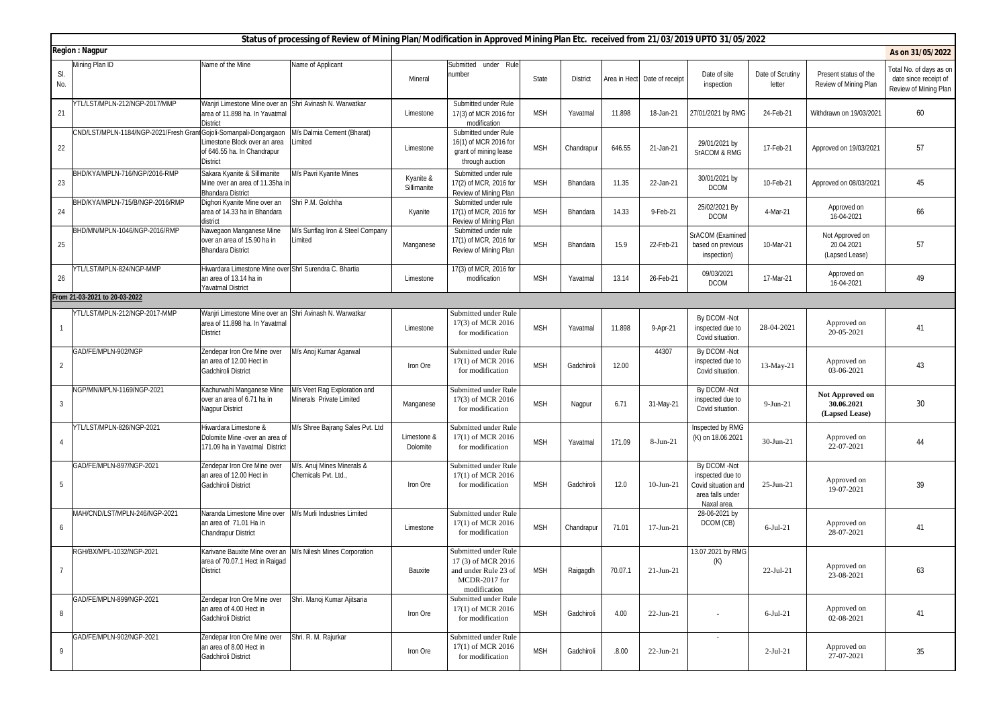|                | Status of processing of Review of Mining Plan/Modification in Approved Mining Plan Etc. received from 21/03/2019 UPTO 31/05/2022 |                                                                                                              |                                                          |                          |                                                                                                    |            |                 |         |                              |                                                                                            |                            |                                                 |                                                                           |
|----------------|----------------------------------------------------------------------------------------------------------------------------------|--------------------------------------------------------------------------------------------------------------|----------------------------------------------------------|--------------------------|----------------------------------------------------------------------------------------------------|------------|-----------------|---------|------------------------------|--------------------------------------------------------------------------------------------|----------------------------|-------------------------------------------------|---------------------------------------------------------------------------|
|                | <b>Region: Nagpur</b>                                                                                                            |                                                                                                              |                                                          |                          |                                                                                                    |            |                 |         |                              |                                                                                            |                            |                                                 | As on 31/05/2022                                                          |
| SI.<br>No.     | Mining Plan ID                                                                                                                   | Vame of the Mine                                                                                             | Name of Applicant                                        | Mineral                  | Submitted under Rule<br>number                                                                     | State      | <b>District</b> |         | Area in Hect Date of receipt | Date of site<br>inspection                                                                 | Date of Scrutiny<br>letter | Present status of the<br>Review of Mining Plan  | Total No. of days as on<br>date since receipt of<br>Review of Mining Plan |
| 21             | YTL/LST/MPLN-212/NGP-2017/MMP                                                                                                    | Wanjri Limestone Mine over an Shri Avinash N. Warwatkar<br>area of 11.898 ha. In Yavatmal<br><b>District</b> |                                                          | Limestone                | Submitted under Rule<br>17(3) of MCR 2016 for<br>modification                                      | <b>MSH</b> | Yavatmal        | 11.898  | 18-Jan-21                    | 27/01/2021 by RMG                                                                          | 24-Feb-21                  | Withdrawn on 19/03/2021                         | 60                                                                        |
| 22             | CND/LST/MPLN-1184/NGP-2021/Fresh Gran                                                                                            | Gojoli-Somanpali-Dongargaon<br>imestone Block over an area<br>of 646.55 ha. In Chandrapur<br><b>District</b> | M/s Dalmia Cement (Bharat)<br>Limited                    | Limestone                | Submitted under Rule<br>16(1) of MCR 2016 for<br>grant of mining lease<br>through auction          | <b>MSH</b> | Chandrapur      | 646.55  | 21-Jan-21                    | 29/01/2021 by<br>SrACOM & RMG                                                              | 17-Feb-21                  | Approved on 19/03/2021                          | 57                                                                        |
| 23             | BHD/KYA/MPLN-716/NGP/2016-RMP                                                                                                    | Sakara Kyanite & Sillimanite<br>Mine over an area of 11.35ha in<br><b>Bhandara District</b>                  | M/s Pavri Kyanite Mines                                  | Kyanite &<br>Sillimanite | Submitted under rule<br>17(2) of MCR, 2016 for<br>Review of Mining Plan                            | <b>MSH</b> | Bhandara        | 11.35   | 22-Jan-21                    | 30/01/2021 by<br><b>DCOM</b>                                                               | 10-Feb-21                  | Approved on 08/03/2021                          | 45                                                                        |
| 24             | BHD/KYA/MPLN-715/B/NGP-2016/RMP                                                                                                  | Dighori Kyanite Mine over an<br>area of 14.33 ha in Bhandara<br>district                                     | Shri P.M. Golchha                                        | Kyanite                  | Submitted under rule<br>17(1) of MCR, 2016 for<br>Review of Mining Plan                            | <b>MSH</b> | Bhandara        | 14.33   | 9-Feb-21                     | 25/02/2021 By<br><b>DCOM</b>                                                               | 4-Mar-21                   | Approved on<br>16-04-2021                       | 66                                                                        |
| 25             | BHD/MN/MPLN-1046/NGP-2016/RMP                                                                                                    | Vawegaon Manganese Mine<br>over an area of 15.90 ha in<br><b>Bhandara District</b>                           | M/s Sunflag Iron & Steel Company<br>Limited              | Manganese                | Submitted under rule<br>17(1) of MCR, 2016 for<br>Review of Mining Plan                            | <b>MSH</b> | Bhandara        | 15.9    | 22-Feb-21                    | SrACOM (Examined<br>based on previous<br>inspection)                                       | 10-Mar-21                  | Not Approved on<br>20.04.2021<br>(Lapsed Lease) | 57                                                                        |
| 26             | YTL/LST/MPLN-824/NGP-MMP                                                                                                         | liwardara Limestone Mine over Shri Surendra C. Bhartia<br>an area of 13.14 ha in<br>Yavatmal District        |                                                          | Limestone                | 17(3) of MCR, 2016 for<br>modification                                                             | <b>MSH</b> | Yavatmal        | 13.14   | 26-Feb-21                    | 09/03/2021<br><b>DCOM</b>                                                                  | 17-Mar-21                  | Approved on<br>16-04-2021                       | 49                                                                        |
|                | From 21-03-2021 to 20-03-2022                                                                                                    |                                                                                                              |                                                          |                          |                                                                                                    |            |                 |         |                              |                                                                                            |                            |                                                 |                                                                           |
|                | YTL/LST/MPLN-212/NGP-2017-MMP                                                                                                    | Wanjri Limestone Mine over an Shri Avinash N. Warwatkar<br>area of 11.898 ha. In Yavatmal<br><b>District</b> |                                                          | Limestone                | Submitted under Rule<br>17(3) of MCR 2016<br>for modification                                      | <b>MSH</b> | Yavatmal        | 11.898  | 9-Apr-21                     | By DCOM -Not<br>inspected due to<br>Covid situation.                                       | 28-04-2021                 | Approved on<br>20-05-2021                       | 41                                                                        |
| $\overline{2}$ | GAD/FE/MPLN-902/NGP                                                                                                              | endepar Iron Ore Mine over<br>an area of 12.00 Hect in<br>Gadchiroli District                                | M/s Anoj Kumar Agarwal                                   | Iron Ore                 | Submitted under Rule<br>17(1) of MCR 2016<br>for modification                                      | <b>MSH</b> | Gadchiroli      | 12.00   | 44307                        | By DCOM -Not<br>inspected due to<br>Covid situation.                                       | 13-May-21                  | Approved on<br>03-06-2021                       | 43                                                                        |
| $\overline{3}$ | NGP/MN/MPLN-1169/NGP-2021                                                                                                        | Kachurwahi Manganese Mine<br>over an area of 6.71 ha in<br><b>Nagpur District</b>                            | M/s Veet Rag Exploration and<br>Minerals Private Limited | Manganese                | Submitted under Rule<br>17(3) of MCR 2016<br>for modification                                      | <b>MSH</b> | Nagpur          | 6.71    | 31-May-21                    | By DCOM -Not<br>inspected due to<br>Covid situation.                                       | $9-Jun-21$                 | Not Approved on<br>30.06.2021<br>(Lapsed Lease) | 30                                                                        |
|                | YTL/LST/MPLN-826/NGP-2021                                                                                                        | liwardara Limestone &<br>Dolomite Mine -over an area of<br>171.09 ha in Yavatmal District                    | M/s Shree Bajrang Sales Pvt. Ltd                         | Limestone &<br>Dolomite  | Submitted under Rule<br>17(1) of MCR 2016<br>for modification                                      | <b>MSH</b> | Yavatmal        | 171.09  | 8-Jun-21                     | Inspected by RMG<br>(K) on 18.06.2021                                                      | 30-Jun-21                  | Approved on<br>22-07-2021                       | 44                                                                        |
| 5              | GAD/FE/MPLN-897/NGP-2021                                                                                                         | endepar Iron Ore Mine over<br>an area of 12.00 Hect in<br>Gadchiroli District                                | M/s. Anuj Mines Minerals &<br>Chemicals Pvt. Ltd.        | Iron Ore                 | Submitted under Rule<br>17(1) of MCR 2016<br>for modification                                      | <b>MSH</b> | Gadchiroli      | 12.0    | $10-Jun-21$                  | By DCOM -Not<br>inspected due to<br>Covid situation and<br>area falls under<br>Naxal area. | $25$ -Jun- $21$            | Approved on<br>19-07-2021                       | 39                                                                        |
| 6              | MAH/CND/LST/MPLN-246/NGP-2021                                                                                                    | Naranda Limestone Mine over<br>an area of 71.01 Ha in<br>Chandrapur District                                 | M/s Murli Industries Limited                             | Limestone                | Submitted under Rule<br>17(1) of MCR 2016<br>for modification                                      | <b>MSH</b> | Chandrapur      | 71.01   | 17-Jun-21                    | 28-06-2021 by<br>DCOM (CB)                                                                 | $6-Jul-21$                 | Approved on<br>28-07-2021                       | 41                                                                        |
|                | RGH/BX/MPL-1032/NGP-2021                                                                                                         | Karivane Bauxite Mine over an M/s Nilesh Mines Corporation<br>area of 70.07.1 Hect in Raigad<br>District     |                                                          | Bauxite                  | Submitted under Rule<br>17(3) of MCR 2016<br>and under Rule 23 of<br>MCDR-2017 for<br>modification | <b>MSH</b> | Raigagdh        | 70.07.1 | $21-Jun-21$                  | 13.07.2021 by RMG<br>(K)                                                                   | $22$ -Jul-21               | Approved on<br>23-08-2021                       | 63                                                                        |
| 8              | GAD/FE/MPLN-899/NGP-2021                                                                                                         | Zendepar Iron Ore Mine over<br>an area of 4.00 Hect in<br>Gadchiroli District                                | Shri. Manoj Kumar Ajitsaria                              | Iron Ore                 | Submitted under Rule<br>17(1) of MCR 2016<br>for modification                                      | <b>MSH</b> | Gadchiroli      | 4.00    | $22$ -Jun-21                 | $\sim$                                                                                     | $6$ -Jul-21                | Approved on<br>02-08-2021                       | 41                                                                        |
| 9              | GAD/FE/MPLN-902/NGP-2021                                                                                                         | Zendepar Iron Ore Mine over<br>an area of 8.00 Hect in<br>Gadchiroli District                                | Shri. R. M. Rajurkar                                     | Iron Ore                 | Submitted under Rule<br>17(1) of MCR 2016<br>for modification                                      | <b>MSH</b> | Gadchiroli      | 0.8.00  | 22-Jun-21                    | $\sim$                                                                                     | $2-Jul-21$                 | Approved on<br>27-07-2021                       | 35                                                                        |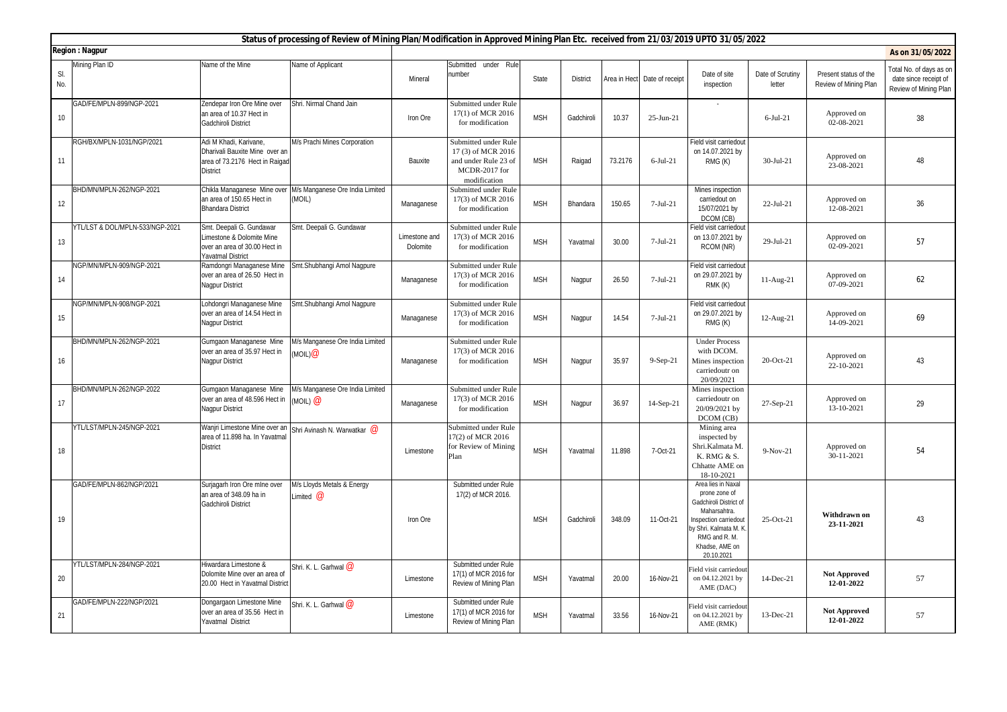|            | Status of processing of Review of Mining Plan/Modification in Approved Mining Plan Etc. received from 21/03/2019 UPTO 31/05/2022 |                                                                                                               |                                                |                           |                                                                                                    |            |                 |         |                              |                                                                                                                                                                                  |                            |                                                |                                                                           |
|------------|----------------------------------------------------------------------------------------------------------------------------------|---------------------------------------------------------------------------------------------------------------|------------------------------------------------|---------------------------|----------------------------------------------------------------------------------------------------|------------|-----------------|---------|------------------------------|----------------------------------------------------------------------------------------------------------------------------------------------------------------------------------|----------------------------|------------------------------------------------|---------------------------------------------------------------------------|
|            | <b>Region: Nagpur</b>                                                                                                            |                                                                                                               |                                                |                           |                                                                                                    |            |                 |         |                              |                                                                                                                                                                                  |                            |                                                | As on 31/05/2022                                                          |
| SI.<br>No. | Mining Plan ID                                                                                                                   | Name of the Mine                                                                                              | Name of Applicant                              | Mineral                   | Submitted under Rule<br>number                                                                     | State      | <b>District</b> |         | Area in Hect Date of receipt | Date of site<br>inspection                                                                                                                                                       | Date of Scrutiny<br>letter | Present status of the<br>Review of Mining Plan | Total No. of days as on<br>date since receipt of<br>Review of Mining Plan |
| 10         | GAD/FE/MPLN-899/NGP-2021                                                                                                         | Zendepar Iron Ore Mine over<br>an area of 10.37 Hect in<br>Gadchiroli District                                | Shri. Nirmal Chand Jain                        | Iron Ore                  | Submitted under Rule<br>17(1) of MCR 2016<br>for modification                                      | <b>MSH</b> | Gadchiroli      | 10.37   | $25$ -Jun-21                 |                                                                                                                                                                                  | $6$ -Jul-21                | Approved on<br>02-08-2021                      | 38                                                                        |
| 11         | RGH/BX/MPLN-1031/NGP/2021                                                                                                        | Adi M Khadi, Karivane,<br>Dharivali Bauxite Mine over an<br>area of 73.2176 Hect in Raigad<br><b>District</b> | M/s Prachi Mines Corporation                   | Bauxite                   | Submitted under Rule<br>17(3) of MCR 2016<br>and under Rule 23 of<br>MCDR-2017 for<br>modification | <b>MSH</b> | Raigad          | 73.2176 | $6$ -Jul-21                  | Field visit carriedout<br>on 14.07.2021 by<br>RMG(K)                                                                                                                             | $30-Jul-21$                | Approved on<br>23-08-2021                      | 48                                                                        |
| 12         | BHD/MN/MPLN-262/NGP-2021                                                                                                         | Chikla Managanese Mine over<br>an area of 150.65 Hect in<br><b>Bhandara District</b>                          | M/s Manganese Ore India Limited<br>(MOIL)      | Managanese                | Submitted under Rule<br>17(3) of MCR 2016<br>for modification                                      | <b>MSH</b> | Bhandara        | 150.65  | $7-Jul-21$                   | Mines inspection<br>carriedout on<br>15/07/2021 by<br>DCOM (CB)                                                                                                                  | $22-Jul-21$                | Approved on<br>12-08-2021                      | 36                                                                        |
| 13         | YTL/LST & DOL/MPLN-533/NGP-2021                                                                                                  | Smt. Deepali G. Gundawar<br>Limestone & Dolomite Mine<br>over an area of 30.00 Hect in<br>Yavatmal District   | Smt. Deepali G. Gundawar                       | Limestone and<br>Dolomite | Submitted under Rule<br>17(3) of MCR 2016<br>for modification                                      | <b>MSH</b> | Yavatmal        | 30.00   | $7-Jul-21$                   | Field visit carriedout<br>on 13.07.2021 by<br>RCOM (NR)                                                                                                                          | 29-Jul-21                  | Approved on<br>02-09-2021                      | 57                                                                        |
| 14         | NGP/MN/MPLN-909/NGP-2021                                                                                                         | Ramdongri Managanese Mine<br>over an area of 26.50 Hect in<br>Nagpur District                                 | Smt.Shubhangi Amol Nagpure                     | Managanese                | Submitted under Rule<br>17(3) of MCR 2016<br>for modification                                      | <b>MSH</b> | Nagpur          | 26.50   | $7-Jul-21$                   | Field visit carriedout<br>on 29.07.2021 by<br>RMK (K)                                                                                                                            | $11-Aug-21$                | Approved on<br>07-09-2021                      | 62                                                                        |
| 15         | NGP/MN/MPLN-908/NGP-2021                                                                                                         | Lohdongri Managanese Mine<br>over an area of 14.54 Hect in<br><b>Nagpur District</b>                          | Smt.Shubhangi Amol Nagpure                     | Managanese                | Submitted under Rule<br>17(3) of MCR 2016<br>for modification                                      | <b>MSH</b> | Nagpur          | 14.54   | $7-Jul-21$                   | Field visit carriedout<br>on 29.07.2021 by<br>RMG(K)                                                                                                                             | 12-Aug-21                  | Approved on<br>14-09-2021                      | 69                                                                        |
| 16         | BHD/MN/MPLN-262/NGP-2021                                                                                                         | Gumgaon Managanese Mine<br>over an area of 35.97 Hect in<br>Nagpur District                                   | //s Manganese Ore India Limited<br>MOIL)@      | Managanese                | Submitted under Rule<br>17(3) of MCR 2016<br>for modification                                      | <b>MSH</b> | Nagpur          | 35.97   | 9-Sep-21                     | <b>Under Process</b><br>with DCOM.<br>Mines inspection<br>carriedoutr on<br>20/09/2021                                                                                           | 20-Oct-21                  | Approved on<br>22-10-2021                      | 43                                                                        |
| 17         | BHD/MN/MPLN-262/NGP-2022                                                                                                         | Gumgaon Managanese Mine<br>over an area of 48.596 Hect in<br>Nagpur District                                  | A/s Manganese Ore India Limited<br>$(MOIL)$ @  | Managanese                | Submitted under Rule<br>17(3) of MCR 2016<br>for modification                                      | <b>MSH</b> | Nagpur          | 36.97   | 14-Sep-21                    | Mines inspection<br>carriedoutr on<br>20/09/2021 by<br>DCOM (CB)                                                                                                                 | 27-Sep-21                  | Approved on<br>13-10-2021                      | 29                                                                        |
| 18         | YTL/LST/MPLN-245/NGP-2021                                                                                                        | Wanjri Limestone Mine over an<br>area of 11.898 ha. In Yavatmal<br><b>District</b>                            | Shri Avinash N. Warwatkar @                    | Limestone                 | Submitted under Rule<br>17(2) of MCR 2016<br>for Review of Mining<br>Plan                          | <b>MSH</b> | Yavatmal        | 11.898  | 7-Oct-21                     | Mining area<br>inspected by<br>Shri.Kalmata M<br>K. RMG & S.<br>Chhatte AME on<br>18-10-2021                                                                                     | $9-Nov-21$                 | Approved on<br>30-11-2021                      | 54                                                                        |
| 19         | GAD/FE/MPLN-862/NGP/2021                                                                                                         | Surjagarh Iron Ore mine over<br>an area of 348.09 ha in<br>Gadchiroli District                                | M/s Lloyds Metals & Energy<br>Limited $\varpi$ | Iron Ore                  | Submitted under Rule<br>17(2) of MCR 2016.                                                         | <b>MSH</b> | Gadchiroli      | 348.09  | 11-Oct-21                    | Area lies in Naxal<br>prone zone of<br>Gadchiroli District of<br>Maharsahtra.<br>Inspection carriedout<br>by Shri. Kalmata M. K<br>RMG and R. M.<br>Khadse, AME on<br>20.10.2021 | 25-Oct-21                  | Withdrawn on<br>23-11-2021                     | 43                                                                        |
| 20         | YTL/LST/MPLN-284/NGP-2021                                                                                                        | Hiwardara Limestone &<br>Dolomite Mine over an area of<br>20.00 Hect in Yavatmal District                     | Shri. K. L. Garhwal @                          | Limestone                 | Submitted under Rule<br>17(1) of MCR 2016 for<br>Review of Mining Plan                             | <b>MSH</b> | Yavatmal        | 20.00   | 16-Nov-21                    | Field visit carriedout<br>on 04.12.2021 by<br>AME (DAC)                                                                                                                          | 14-Dec-21                  | <b>Not Approved</b><br>12-01-2022              | 57                                                                        |
| 21         | GAD/FE/MPLN-222/NGP/2021                                                                                                         | Dongargaon Limestone Mine<br>over an area of 35.56 Hect in<br>Yavatmal District                               | Shri. K. L. Garhwal $\bm{\varpi}$              | Limestone                 | Submitted under Rule<br>17(1) of MCR 2016 for<br>Review of Mining Plan                             | <b>MSH</b> | Yavatmal        | 33.56   | 16-Nov-21                    | Field visit carriedout<br>on 04.12.2021 by<br>AME (RMK)                                                                                                                          | 13-Dec-21                  | <b>Not Approved</b><br>12-01-2022              | 57                                                                        |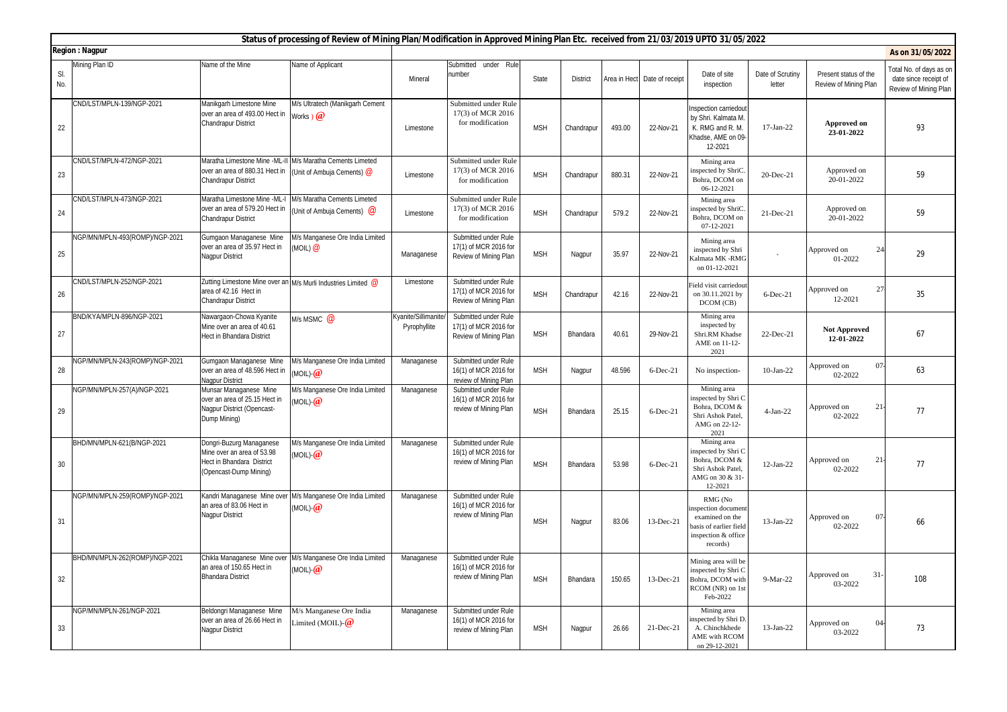| Status of processing of Review of Mining Plan/Modification in Approved Mining Plan Etc. received from 21/03/2019 UPTO 31/05/2022 |                                |                                                                                                               |                                                                                         |                                            |                                                                        |            |                 |        |                              |                                                                                                               |                            |                                                |                                                                           |
|----------------------------------------------------------------------------------------------------------------------------------|--------------------------------|---------------------------------------------------------------------------------------------------------------|-----------------------------------------------------------------------------------------|--------------------------------------------|------------------------------------------------------------------------|------------|-----------------|--------|------------------------------|---------------------------------------------------------------------------------------------------------------|----------------------------|------------------------------------------------|---------------------------------------------------------------------------|
| <b>Region: Nagpur</b>                                                                                                            |                                |                                                                                                               |                                                                                         |                                            |                                                                        |            |                 |        |                              |                                                                                                               |                            |                                                | As on 31/05/2022                                                          |
| SI.<br>No.                                                                                                                       | Mining Plan ID                 | Name of the Mine                                                                                              | Name of Applicant                                                                       | Mineral                                    | Submitted under Rule<br>number                                         | State      | <b>District</b> |        | Area in Hect Date of receipt | Date of site<br>inspection                                                                                    | Date of Scrutiny<br>letter | Present status of the<br>Review of Mining Plan | Total No. of days as or<br>date since receipt of<br>Review of Mining Plan |
| 22                                                                                                                               | CND/LST/MPLN-139/NGP-2021      | Manikgarh Limestone Mine<br>over an area of 493.00 Hect in<br>Chandrapur District                             | M/s Ultratech (Manikgarh Cement<br>Works $\mathbf{Q}$                                   | Limestone                                  | Submitted under Rule<br>17(3) of MCR 2016<br>for modification          | <b>MSH</b> | Chandrapur      | 493.00 | 22-Nov-21                    | nspection carriedout<br>by Shri. Kalmata M.<br>K. RMG and R. M.<br>Khadse, AME on 09-<br>12-2021              | 17-Jan-22                  | Approved on<br>23-01-2022                      | 93                                                                        |
| 23                                                                                                                               | CND/LST/MPLN-472/NGP-2021      | over an area of 880.31 Hect in<br>Chandrapur District                                                         | Maratha Limestone Mine -ML-II M/s Maratha Cements Limeted<br>(Unit of Ambuja Cements) @ | Limestone                                  | Submitted under Rule<br>17(3) of MCR 2016<br>for modification          | <b>MSH</b> | Chandrapur      | 880.31 | 22-Nov-21                    | Mining area<br>inspected by ShriC.<br>Bohra, DCOM on<br>06-12-2021                                            | 20-Dec-21                  | Approved on<br>20-01-2022                      | 59                                                                        |
| 24                                                                                                                               | CND/LST/MPLN-473/NGP-2021      | Maratha Limestone Mine -ML-I<br>over an area of 579.20 Hect in<br><b>Chandrapur District</b>                  | M/s Maratha Cements Limeted<br>Unit of Ambuja Cements) $\omega$                         | Limestone                                  | Submitted under Rule<br>17(3) of MCR 2016<br>for modification          | <b>MSH</b> | Chandrapur      | 579.2  | 22-Nov-21                    | Mining area<br>nspected by ShriC.<br>Bohra, DCOM on<br>07-12-2021                                             | 21-Dec-21                  | Approved on<br>20-01-2022                      | 59                                                                        |
| 25                                                                                                                               | NGP/MN/MPLN-493(ROMP)/NGP-2021 | Gumgaon Managanese Mine<br>over an area of 35.97 Hect in<br><b>Nagpur District</b>                            | M/s Manganese Ore India Limited<br>Moil)@                                               | Managanese                                 | Submitted under Rule<br>17(1) of MCR 2016 for<br>Review of Mining Plan | <b>MSH</b> | Nagpur          | 35.97  | 22-Nov-21                    | Mining area<br>inspected by Shri<br>Calmata MK -RMG<br>on 01-12-2021                                          |                            | 24<br>Approved on<br>01-2022                   | 29                                                                        |
| 26                                                                                                                               | CND/LST/MPLN-252/NGP-2021      | area of 42.16 Hect in<br>Chandrapur District                                                                  | Zutting Limestone Mine over an M/s Murli Industries Limited @                           | Limestone                                  | Submitted under Rule<br>17(1) of MCR 2016 for<br>Review of Mining Plan | <b>MSH</b> | Chandrapur      | 42.16  | 22-Nov-21                    | ield visit carriedout<br>on 30.11.2021 by<br>DCOM (CB)                                                        | $6$ -Dec-21                | 27<br>Approved on<br>12-2021                   | 35                                                                        |
| 27                                                                                                                               | BND/KYA/MPLN-896/NGP-2021      | Nawargaon-Chowa Kyanite<br>Mine over an area of 40.61<br><b>Hect in Bhandara District</b>                     | M/s MSMC $\omega$                                                                       | <b>Kyanite/Sillimanite</b><br>Pyrophyllite | Submitted under Rule<br>17(1) of MCR 2016 for<br>Review of Mining Plan | <b>MSH</b> | Bhandara        | 40.61  | 29-Nov-21                    | Mining area<br>inspected by<br>Shri.RM Khadse<br>AME on 11-12-<br>2021                                        | 22-Dec-21                  | <b>Not Approved</b><br>12-01-2022              | 67                                                                        |
| 28                                                                                                                               | NGP/MN/MPLN-243(ROMP)/NGP-2021 | Gumgaon Managanese Mine<br>over an area of 48.596 Hect in<br>Nagpur District                                  | M/s Manganese Ore India Limited<br>moil)- $@$                                           | Managanese                                 | Submitted under Rule<br>16(1) of MCR 2016 for<br>review of Mining Plan | <b>MSH</b> | Nagpur          | 48.596 | 6-Dec-21                     | No inspection-                                                                                                | $10-Jan-22$                | 07<br>Approved on<br>02-2022                   | 63                                                                        |
| 29                                                                                                                               | NGP/MN/MPLN-257(A)/NGP-2021    | Munsar Managanese Mine<br>over an area of 25.15 Hect in<br>Nagpur District (Opencast-<br>Dump Mining)         | M/s Manganese Ore India Limited<br>moil)- $@$                                           | Managanese                                 | Submitted under Rule<br>16(1) of MCR 2016 for<br>review of Mining Plan | <b>MSH</b> | Bhandara        | 25.15  | 6-Dec-21                     | Mining area<br>inspected by Shri C<br>Bohra, DCOM &<br>Shri Ashok Patel,<br>AMG on 22-12-<br>2021             | $4-Jan-22$                 | 21<br>Approved on<br>02-2022                   | 77                                                                        |
| 30                                                                                                                               | BHD/MN/MPLN-621(B/NGP-2021     | Dongri-Buzurg Managanese<br>Mine over an area of 53.98<br>Hect in Bhandara District<br>(Opencast-Dump Mining) | M/s Manganese Ore India Limited<br>(MOIL)- $@$                                          | Managanese                                 | Submitted under Rule<br>16(1) of MCR 2016 for<br>review of Mining Plan | <b>MSH</b> | Bhandara        | 53.98  | $6$ -Dec-21                  | Mining area<br>inspected by Shri C<br>Bohra, DCOM &<br>Shri Ashok Patel,<br>AMG on 30 & 31<br>12-2021         | 12-Jan-22                  | 21<br>Approved on<br>02-2022                   | 77                                                                        |
| 31                                                                                                                               | NGP/MN/MPLN-259(ROMP)/NGP-2021 | Kandri Managanese Mine over<br>an area of 83.06 Hect in<br><b>Nagpur District</b>                             | M/s Manganese Ore India Limited<br>(MOIL)- $@$                                          | Managanese                                 | Submitted under Rule<br>16(1) of MCR 2016 for<br>review of Mining Plan | <b>MSH</b> | Nagpur          | 83.06  | 13-Dec-21                    | RMG (No<br>nspection document<br>examined on the<br>pasis of earlier field<br>inspection & office<br>records) | 13-Jan-22                  | Approved on<br>$07 -$<br>02-2022               | 66                                                                        |
| 32                                                                                                                               | BHD/MN/MPLN-262(ROMP)/NGP-2021 | an area of 150.65 Hect in<br><b>Bhandara District</b>                                                         | Chikla Managanese Mine over M/s Manganese Ore India Limited<br>(MOIL)- $@$              | Managanese                                 | Submitted under Rule<br>16(1) of MCR 2016 for<br>review of Mining Plan | <b>MSH</b> | Bhandara        | 150.65 | 13-Dec-21                    | Mining area will be<br>inspected by Shri C<br>Bohra, DCOM with<br>RCOM (NR) on 1st<br>Feb-2022                | 9-Mar-22                   | Approved on<br>$31-$<br>03-2022                | 108                                                                       |
| 33                                                                                                                               | NGP/MN/MPLN-261/NGP-2021       | Beldongri Managanese Mine<br>over an area of 26.66 Hect in<br><b>Nagpur District</b>                          | M/s Manganese Ore India<br>.imited (MOIL)- $@$                                          | Managanese                                 | Submitted under Rule<br>16(1) of MCR 2016 for<br>review of Mining Plan | <b>MSH</b> | Nagpur          | 26.66  | 21-Dec-21                    | Mining area<br>nspected by Shri D.<br>A. Chinchkhede<br>AME with RCOM<br>on 29-12-2021                        | 13-Jan-22                  | 04<br>Approved on<br>03-2022                   | 73                                                                        |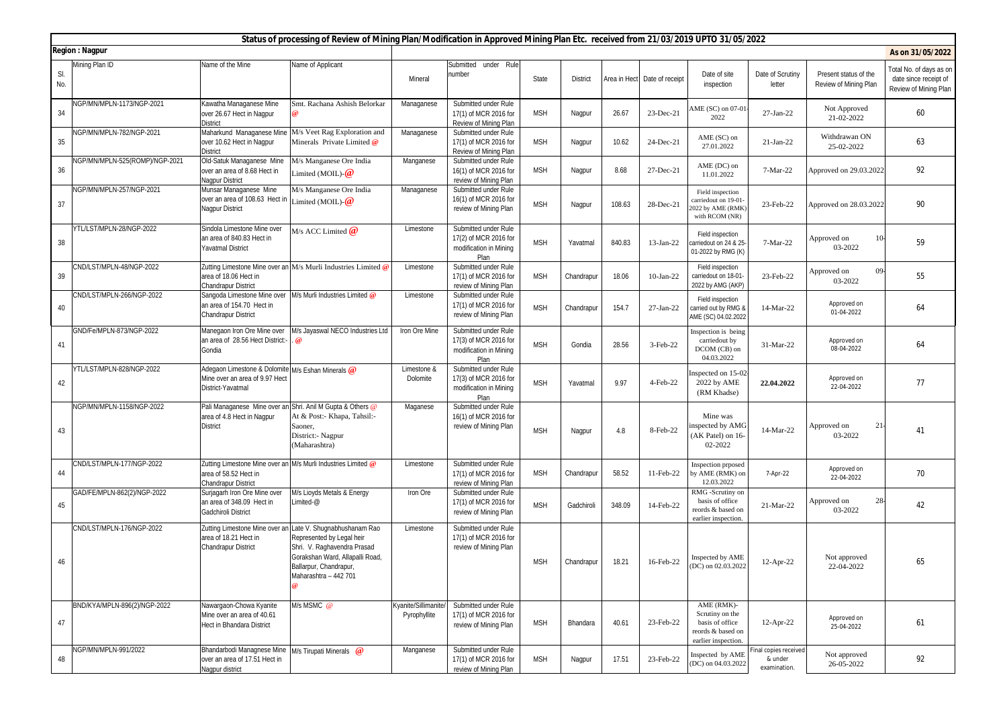|            | Status of processing of Review of Mining Plan/Modification in Approved Mining Plan Etc. received from 21/03/2019 UPTO 31/05/2022 |                                                                                                               |                                                                                                                                                                                                              |                                     |                                                                                 |            |                 |        |                              |                                                                                              |                                                 |                                                |                                                                           |
|------------|----------------------------------------------------------------------------------------------------------------------------------|---------------------------------------------------------------------------------------------------------------|--------------------------------------------------------------------------------------------------------------------------------------------------------------------------------------------------------------|-------------------------------------|---------------------------------------------------------------------------------|------------|-----------------|--------|------------------------------|----------------------------------------------------------------------------------------------|-------------------------------------------------|------------------------------------------------|---------------------------------------------------------------------------|
|            | <b>Region: Nagpur</b>                                                                                                            |                                                                                                               |                                                                                                                                                                                                              |                                     |                                                                                 |            |                 |        |                              |                                                                                              |                                                 |                                                | As on 31/05/2022                                                          |
| SI.<br>No. | Mining Plan ID                                                                                                                   | Name of the Mine                                                                                              | Name of Applicant                                                                                                                                                                                            | Mineral                             | Submitted under Rule<br>number                                                  | State      | <b>District</b> |        | Area in Hect Date of receipt | Date of site<br>inspection                                                                   | Date of Scrutiny<br>letter                      | Present status of the<br>Review of Mining Plan | Fotal No. of days as on<br>date since receipt of<br>Review of Mining Plan |
| 34         | NGP/MN/MPLN-1173/NGP-2021                                                                                                        | Kawatha Managanese Mine<br>over 26.67 Hect in Nagpur<br><b>District</b>                                       | Smt. Rachana Ashish Belorkar                                                                                                                                                                                 | Managanese                          | Submitted under Rule<br>17(1) of MCR 2016 for<br>Review of Mining Plan          | <b>MSH</b> | Nagpur          | 26.67  | 23-Dec-21                    | AME (SC) on 07-01<br>2022                                                                    | 27-Jan-22                                       | Not Approved<br>21-02-2022                     | 60                                                                        |
| 35         | NGP/MN/MPLN-782/NGP-2021                                                                                                         | Maharkund Managanese Mine<br>over 10.62 Hect in Nagpur<br><b>District</b>                                     | M/s Veet Rag Exploration and<br>Minerals Private Limited @                                                                                                                                                   | Managanese                          | Submitted under Rule<br>17(1) of MCR 2016 for<br>Review of Mining Plan          | <b>MSH</b> | Nagpur          | 10.62  | 24-Dec-21                    | AME (SC) on<br>27.01.2022                                                                    | $21-Jan-22$                                     | Withdrawan ON<br>25-02-2022                    | 63                                                                        |
| 36         | NGP/MN/MPLN-525(ROMP)/NGP-2021                                                                                                   | Old-Satuk Managanese Mine<br>over an area of 8.68 Hect in<br>Nagpur District                                  | M/s Manganese Ore India<br>Limited (MOIL)- $@$                                                                                                                                                               | Manganese                           | Submitted under Rule<br>16(1) of MCR 2016 for<br>review of Mining Plan          | <b>MSH</b> | Nagpur          | 8.68   | 27-Dec-21                    | AME (DC) on<br>11.01.2022                                                                    | 7-Mar-22                                        | Approved on 29.03.2022                         | 92                                                                        |
| 37         | NGP/MN/MPLN-257/NGP-2021                                                                                                         | Munsar Managanese Mine<br>over an area of 108.63 Hect in<br>Nagpur District                                   | M/s Manganese Ore India<br>Limited (MOIL)- $@$                                                                                                                                                               | Managanese                          | Submitted under Rule<br>16(1) of MCR 2016 for<br>review of Mining Plan          | <b>MSH</b> | Nagpur          | 108.63 | 28-Dec-21                    | Field inspection<br>carriedout on 19-01<br>2022 by AME (RMK)<br>with RCOM (NR)               | 23-Feb-22                                       | Approved on 28.03.2022                         | 90                                                                        |
| 38         | YTL/LST/MPLN-28/NGP-2022                                                                                                         | Sindola Limestone Mine over<br>an area of 840.83 Hect in<br><b>Yavatmal District</b>                          | M/s ACC Limited $@$                                                                                                                                                                                          | Limestone                           | Submitted under Rule<br>17(2) of MCR 2016 for<br>modification in Mining<br>Plan | <b>MSH</b> | Yavatmal        | 840.83 | 13-Jan-22                    | Field inspection<br>carriedout on 24 & 25<br>01-2022 by RMG (K)                              | 7-Mar-22                                        | $10-$<br>Approved on<br>03-2022                | 59                                                                        |
| 39         | CND/LST/MPLN-48/NGP-2022                                                                                                         | area of 18.06 Hect in<br>Chandrapur District                                                                  | Zutting Limestone Mine over an M/s Murli Industries Limited @                                                                                                                                                | Limestone                           | Submitted under Rule<br>17(1) of MCR 2016 for<br>review of Mining Plan          | <b>MSH</b> | Chandrapur      | 18.06  | $10$ -Jan-22                 | Field inspection<br>carriedout on 18-01<br>2022 by AMG (AKP)                                 | 23-Feb-22                                       | 09-<br>Approved on<br>03-2022                  | 55                                                                        |
| 40         | CND/LST/MPLN-266/NGP-2022                                                                                                        | Sangoda Limestone Mine over<br>an area of 154.70 Hect in<br><b>Chandrapur District</b>                        | M/s Murli Industries Limited @                                                                                                                                                                               | Limestone                           | Submitted under Rule<br>17(1) of MCR 2016 for<br>review of Mining Plan          | <b>MSH</b> | Chandrapur      | 154.7  | 27-Jan-22                    | Field inspection<br>carried out by RMG 8<br>AME (SC) 04.02.2022                              | 14-Mar-22                                       | Approved on<br>01-04-2022                      | 64                                                                        |
| 41         | GND/Fe/MPLN-873/NGP-2022                                                                                                         | Manegaon Iron Ore Mine over<br>an area of 28.56 Hect District:<br>Gondia                                      | M/s Jayaswal NECO Industries Ltd                                                                                                                                                                             | Iron Ore Mine                       | Submitted under Rule<br>17(3) of MCR 2016 for<br>modification in Mining<br>Plan | <b>MSH</b> | Gondia          | 28.56  | 3-Feb-22                     | Inspection is being<br>carriedout by<br>DCOM (CB) on<br>04.03.2022                           | 31-Mar-22                                       | Approved on<br>08-04-2022                      | 64                                                                        |
| 42         | YTL/LST/MPLN-828/NGP-2022                                                                                                        | Adegaon Limestone & Dolomite M/s Eshan Minerals @<br>Mine over an area of 9.97 Hect<br>District-Yavatmal      |                                                                                                                                                                                                              | Limestone &<br>Dolomite             | Submitted under Rule<br>17(3) of MCR 2016 for<br>modification in Mining<br>Plan | <b>MSH</b> | Yavatmal        | 9.97   | 4-Feb-22                     | Inspected on 15-02<br>2022 by AME<br>(RM Khadse)                                             | 22.04.2022                                      | Approved on<br>22-04-2022                      | 77                                                                        |
| 43         | NGP/MN/MPLN-1158/NGP-2022                                                                                                        | Pali Managanese Mine over an Shri. Anil M Gupta & Others @<br>area of 4.8 Hect in Nagpur<br><b>District</b>   | At & Post:- Khapa, Tahsil:-<br>Saoner,<br>District:- Nagpur<br>(Maharashtra)                                                                                                                                 | Maganese                            | Submitted under Rule<br>16(1) of MCR 2016 for<br>review of Mining Plan          | <b>MSH</b> | Nagpur          | 4.8    | 8-Feb-22                     | Mine was<br>inspected by AMG<br>(AK Patel) on 16-<br>02-2022                                 | 14-Mar-22                                       | Approved on<br>$21 -$<br>03-2022               | 41                                                                        |
| 44         | CND/LST/MPLN-177/NGP-2022                                                                                                        | Zutting Limestone Mine over an M/s Murli Industries Limited @<br>area of 58.52 Hect in<br>Chandrapur District |                                                                                                                                                                                                              | Limestone                           | Submitted under Rule<br>17(1) of MCR 2016 for<br>review of Mining Plan          | <b>MSH</b> | Chandrapur      | 58.52  | 11-Feb-22                    | Inspection prposed<br>by AME (RMK) on<br>12.03.2022                                          | 7-Apr-22                                        | Approved on<br>22-04-2022                      | 70                                                                        |
| 45         | GAD/FE/MPLN-862(2)/NGP-2022                                                                                                      | Surjagarh Iron Ore Mine over<br>an area of 348.09 Hect in<br><b>Gadchiroli District</b>                       | M/s Lioyds Metals & Energy<br>Limited-@                                                                                                                                                                      | Iron Ore                            | Submitted under Rule<br>17(1) of MCR 2016 for<br>review of Mining Plan          | <b>MSH</b> | Gadchiroli      | 348.09 | 14-Feb-22                    | RMG -Scrutiny on<br>basis of office<br>reords & based on<br>earlier inspection               | 21-Mar-22                                       | $28 -$<br>Approved on<br>03-2022               | 42                                                                        |
| 46         | CND/LST/MPLN-176/NGP-2022                                                                                                        | area of 18.21 Hect in<br><b>Chandrapur District</b>                                                           | Zutting Limestone Mine over an Late V. Shugnabhushanam Rao<br>Represented by Legal heir<br>Shri. V. Raghavendra Prasad<br>Gorakshan Ward, Allapalli Road,<br>Ballarpur, Chandrapur,<br>Maharashtra - 442 701 | Limestone                           | Submitted under Rule<br>17(1) of MCR 2016 for<br>review of Mining Plan          | <b>MSH</b> | Chandrapur      | 18.21  | 16-Feb-22                    | Inspected by AME<br>(DC) on 02.03.2022                                                       | 12-Apr-22                                       | Not approved<br>22-04-2022                     | 65                                                                        |
| 47         | BND/KYA/MPLN-896(2)/NGP-2022                                                                                                     | Nawargaon-Chowa Kyanite<br>Mine over an area of 40.61<br>Hect in Bhandara District                            | M/s MSMC @                                                                                                                                                                                                   | Kyanite/Sillimanite<br>Pyrophyllite | Submitted under Rule<br>17(1) of MCR 2016 for<br>review of Mining Plan          | <b>MSH</b> | Bhandara        | 40.61  | 23-Feb-22                    | AME (RMK)-<br>Scrutiny on the<br>basis of office<br>reords & based on<br>earlier inspection. | $12$ -Apr-22                                    | Approved on<br>25-04-2022                      | 61                                                                        |
| 48         | NGP/MN/MPLN-991/2022                                                                                                             | Bhandarbodi Managnese Mine<br>over an area of 17.51 Hect in<br>Nagpur district                                | M/s Tirupati Minerals @                                                                                                                                                                                      | Manganese                           | Submitted under Rule<br>17(1) of MCR 2016 for<br>review of Mining Plan          | <b>MSH</b> | Nagpur          | 17.51  | 23-Feb-22                    | Inspected by AME<br>(DC) on 04.03.2022                                                       | inal copies received<br>& under<br>examination. | Not approved<br>26-05-2022                     | 92                                                                        |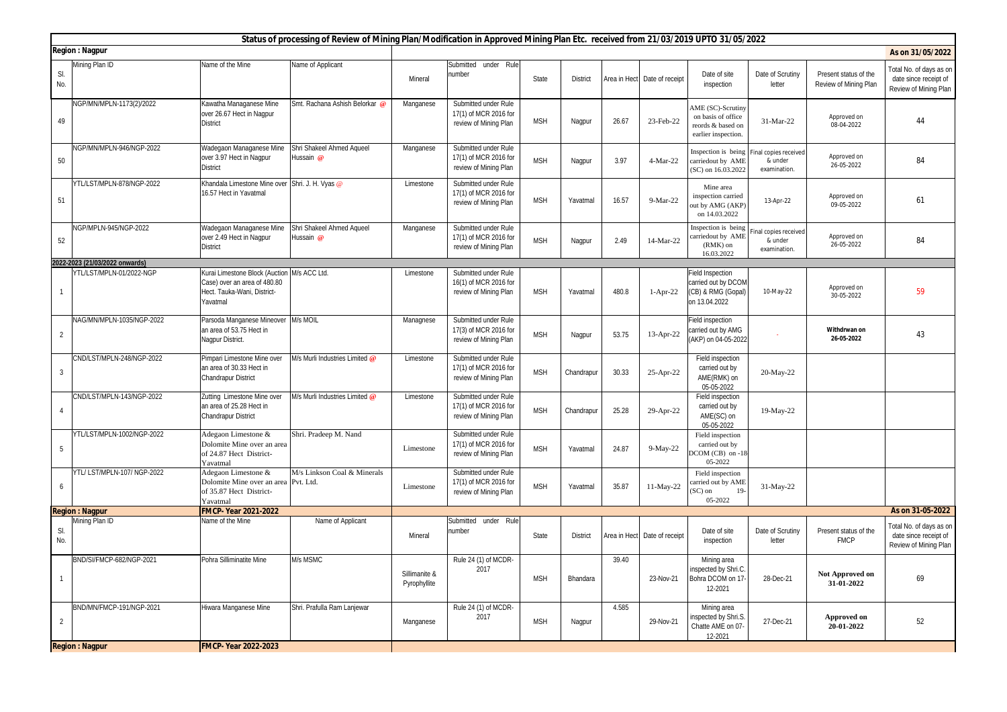|                | Status of processing of Review of Mining Plan/Modification in Approved Mining Plan Etc. received from 21/03/2019 UPTO 31/05/2022 |                                                                                                                        |                                        |                               |                                                                        |            |                 |              |                              |                                                                                     |                                                 |                                                |                                                                           |
|----------------|----------------------------------------------------------------------------------------------------------------------------------|------------------------------------------------------------------------------------------------------------------------|----------------------------------------|-------------------------------|------------------------------------------------------------------------|------------|-----------------|--------------|------------------------------|-------------------------------------------------------------------------------------|-------------------------------------------------|------------------------------------------------|---------------------------------------------------------------------------|
|                | <b>Region: Nagpur</b>                                                                                                            |                                                                                                                        |                                        |                               |                                                                        |            |                 |              |                              |                                                                                     |                                                 |                                                | As on 31/05/2022                                                          |
| SI.<br>No.     | Mining Plan ID                                                                                                                   | Name of the Mine                                                                                                       | Name of Applicant                      | Mineral                       | Submitted under Rule<br>number                                         | State      | District        |              | Area in Hect Date of receipt | Date of site<br>inspection                                                          | Date of Scrutiny<br>letter                      | Present status of the<br>Review of Mining Plan | Total No. of days as on<br>date since receipt of<br>Review of Mining Plan |
| 49             | NGP/MN/MPLN-1173(2)/2022                                                                                                         | Kawatha Managanese Mine<br>over 26.67 Hect in Nagpur<br><b>District</b>                                                | Smt. Rachana Ashish Belorkar @         | Manganese                     | Submitted under Rule<br>17(1) of MCR 2016 for<br>review of Mining Plan | <b>MSH</b> | Nagpur          | 26.67        | 23-Feb-22                    | AME (SC)-Scrutiny<br>on basis of office<br>reords & based on<br>earlier inspection. | 31-Mar-22                                       | Approved on<br>08-04-2022                      | 44                                                                        |
| 50             | NGP/MN/MPLN-946/NGP-2022                                                                                                         | Wadegaon Managanese Mine<br>over 3.97 Hect in Nagpur<br><b>District</b>                                                | Shri Shakeel Ahmed Aqueel<br>lussain @ | Manganese                     | Submitted under Rule<br>17(1) of MCR 2016 for<br>review of Mining Plan | <b>MSH</b> | Nagpur          | 3.97         | 4-Mar-22                     | Inspection is being<br>carriedout by AME<br>(SC) on 16.03.2022                      | inal copies received<br>& under<br>examination. | Approved on<br>26-05-2022                      | 84                                                                        |
| 51             | YTL/LST/MPLN-878/NGP-2022                                                                                                        | Khandala Limestone Mine over Shri. J. H. Vyas @<br>16.57 Hect in Yavatmal                                              |                                        | Limestone                     | Submitted under Rule<br>17(1) of MCR 2016 for<br>review of Mining Plan | <b>MSH</b> | Yavatmal        | 16.57        | 9-Mar-22                     | Mine area<br>inspection carried<br>but by AMG (AKP)<br>on 14.03.2022                | 13-Apr-22                                       | Approved on<br>09-05-2022                      | 61                                                                        |
| 52             | NGP/MPLN-945/NGP-2022                                                                                                            | Wadegaon Managanese Mine<br>over 2.49 Hect in Nagpur<br><b>District</b>                                                | Shri Shakeel Ahmed Aqueel<br>Hussain @ | Manganese                     | Submitted under Rule<br>17(1) of MCR 2016 for<br>review of Mining Plan | <b>MSH</b> | Nagpur          | 2.49         | 14-Mar-22                    | Inspection is being<br>carriedout by AME<br>(RMK) on<br>16.03.2022                  | nal copies received<br>& under<br>examination.  | Approved on<br>26-05-2022                      | 84                                                                        |
|                | 2022-2023 (21/03/2022 onwards)                                                                                                   |                                                                                                                        |                                        |                               |                                                                        |            |                 |              |                              |                                                                                     |                                                 |                                                |                                                                           |
| $\mathbf{1}$   | /TL/LST/MPLN-01/2022-NGP                                                                                                         | Kurai Limestone Block (Auction M/s ACC Ltd.<br>Case) over an area of 480.80<br>Hect. Tauka-Wani, District-<br>Yavatmal |                                        | Limestone                     | Submitted under Rule<br>16(1) of MCR 2016 for<br>review of Mining Plan | <b>MSH</b> | Yavatmal        | 480.8        | 1-Apr-22                     | Field Inspection<br>carried out by DCOM<br>(CB) & RMG (Gopal)<br>on 13.04.2022      | 10-May-22                                       | Approved on<br>30-05-2022                      | 59                                                                        |
| $\overline{2}$ | NAG/MN/MPLN-1035/NGP-2022                                                                                                        | Parsoda Manganese Mineover M/s MOIL<br>an area of 53.75 Hect in<br>Nagpur District.                                    |                                        | Managnese                     | Submitted under Rule<br>17(3) of MCR 2016 for<br>review of Mining Plan | <b>MSH</b> | Nagpur          | 53.75        | 13-Apr-22                    | Field inspection<br>carried out by AMG<br>(AKP) on 04-05-2022                       |                                                 | Withdrwan on<br>26-05-2022                     | 43                                                                        |
| $\overline{3}$ | CND/LST/MPLN-248/NGP-2022                                                                                                        | Pimpari Limestone Mine over<br>an area of 30.33 Hect in<br>Chandrapur District                                         | M/s Murli Industries Limited @         | Limestone                     | Submitted under Rule<br>17(1) of MCR 2016 for<br>review of Mining Plan | <b>MSH</b> | Chandrapur      | 30.33        | 25-Apr-22                    | Field inspection<br>carried out by<br>AME(RMK) on<br>05-05-2022                     | 20-May-22                                       |                                                |                                                                           |
| $\overline{4}$ | CND/LST/MPLN-143/NGP-2022                                                                                                        | Zutting Limestone Mine over<br>an area of 25.28 Hect in<br>Chandrapur District                                         | M/s Murli Industries Limited @         | Limestone                     | Submitted under Rule<br>17(1) of MCR 2016 for<br>review of Mining Plan | <b>MSH</b> | Chandrapur      | 25.28        | 29-Apr-22                    | Field inspection<br>carried out by<br>AME(SC) on<br>05-05-2022                      | 19-May-22                                       |                                                |                                                                           |
| 5              | YTL/LST/MPLN-1002/NGP-2022                                                                                                       | Adegaon Limestone &<br>Dolomite Mine over an area<br>of 24.87 Hect District-<br>Yavatmal                               | Shri. Pradeep M. Nand                  | Limestone                     | Submitted under Rule<br>17(1) of MCR 2016 for<br>review of Mining Plan | <b>MSH</b> | Yavatmal        | 24.87        | 9-May-22                     | Field inspection<br>carried out by<br>$DCOM(CB)$ on -18<br>05-2022                  |                                                 |                                                |                                                                           |
| 6              | YTL/LST/MPLN-107/NGP-2022                                                                                                        | Adegaon Limestone &<br>Dolomite Mine over an area Pvt. Ltd.<br>of 35.87 Hect District-<br>Yavatmal                     | M/s Linkson Coal & Minerals            | Limestone                     | Submitted under Rule<br>17(1) of MCR 2016 for<br>review of Mining Plan | <b>MSH</b> | Yavatmal        | 35.87        | 11-May-22                    | Field inspection<br>carried out by AME<br>$(SC)$ on<br>19<br>05-2022                | 31-May-22                                       |                                                |                                                                           |
|                | <b>Region: Nagpur</b>                                                                                                            | FMCP- Year 2021-2022                                                                                                   |                                        |                               |                                                                        |            |                 |              |                              |                                                                                     |                                                 |                                                | As on 31-05-2022                                                          |
| SI.<br>No.     | Mining Plan ID                                                                                                                   | Name of the Mine                                                                                                       | Name of Applicant                      | Mineral                       | Submitted<br>under Rule<br>number                                      | State      | <b>District</b> | Area in Hect | Date of receipt              | Date of site<br>inspection                                                          | Date of Scrutiny<br>letter                      | Present status of the<br><b>FMCP</b>           | Total No. of days as on<br>date since receipt of<br>Review of Mining Plan |
| $\overline{1}$ | BND/SI/FMCP-682/NGP-2021                                                                                                         | Pohra Silliminatite Mine                                                                                               | M/s MSMC                               | Sillimanite &<br>Pyrophyllite | Rule 24 (1) of MCDR-<br>2017                                           | <b>MSH</b> | Bhandara        | 39.40        | 23-Nov-21                    | Mining area<br>inspected by Shri.C.<br>Bohra DCOM on 17<br>12-2021                  | 28-Dec-21                                       | Not Approved on<br>31-01-2022                  | 69                                                                        |
| $\overline{2}$ | BND/MN/FMCP-191/NGP-2021                                                                                                         | Hiwara Manganese Mine                                                                                                  | Shri. Prafulla Ram Lanjewar            | Manganese                     | Rule 24 (1) of MCDR-<br>2017                                           | <b>MSH</b> | Nagpur          | 4.585        | 29-Nov-21                    | Mining area<br>inspected by Shri.S.<br>Chatte AME on 07-<br>12-2021                 | 27-Dec-21                                       | <b>Approved on</b><br>20-01-2022               | 52                                                                        |
|                | <b>Region: Nagpur</b>                                                                                                            | <b>FMCP-Year 2022-2023</b>                                                                                             |                                        |                               |                                                                        |            |                 |              |                              |                                                                                     |                                                 |                                                |                                                                           |